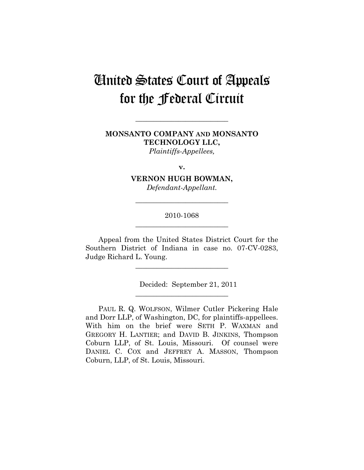# United States Court of Appeals for the Federal Circuit

# **MONSANTO COMPANY AND MONSANTO TECHNOLOGY LLC,**  *Plaintiffs-Appellees,*

**\_\_\_\_\_\_\_\_\_\_\_\_\_\_\_\_\_\_\_\_\_\_\_\_\_\_** 

**v.** 

**VERNON HUGH BOWMAN,**  *Defendant-Appellant.* 

# 2010-1068 **\_\_\_\_\_\_\_\_\_\_\_\_\_\_\_\_\_\_\_\_\_\_\_\_\_\_**

**\_\_\_\_\_\_\_\_\_\_\_\_\_\_\_\_\_\_\_\_\_\_\_\_\_\_** 

Appeal from the United States District Court for the Southern District of Indiana in case no. 07-CV-0283, Judge Richard L. Young.

**\_\_\_\_\_\_\_\_\_\_\_\_\_\_\_\_\_\_\_\_\_\_\_\_\_\_** 

**\_\_\_\_\_\_\_\_\_\_\_\_\_\_\_\_\_\_\_\_\_\_\_\_\_\_** 

Decided: September 21, 2011

PAUL R. Q. WOLFSON, Wilmer Cutler Pickering Hale and Dorr LLP, of Washington, DC, for plaintiffs-appellees. With him on the brief were SETH P. WAXMAN and GREGORY H. LANTIER; and DAVID B. JINKINS, Thompson Coburn LLP, of St. Louis, Missouri. Of counsel were DANIEL C. COX and JEFFREY A. MASSON, Thompson Coburn, LLP, of St. Louis, Missouri.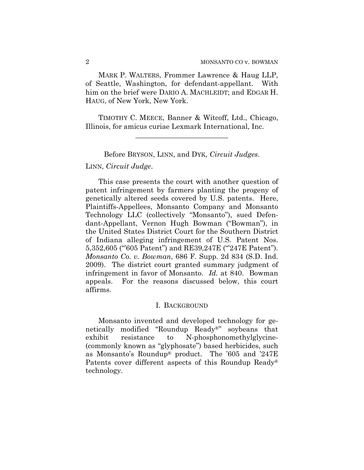MARK P. WALTERS, Frommer Lawrence & Haug LLP, of Seattle, Washington, for defendant-appellant. With him on the brief were DARIO A. MACHLEIDT; and EDGAR H. HAUG, of New York, New York.

TIMOTHY C. MEECE, Banner & Witcoff, Ltd., Chicago, Illinois, for amicus curiae Lexmark International, Inc.

**\_\_\_\_\_\_\_\_\_\_\_\_\_\_\_\_\_\_\_\_\_\_\_\_\_\_** 

Before BRYSON, LINN, and DYK, *Circuit Judges*.

# LINN, *Circuit Judge*.

This case presents the court with another question of patent infringement by farmers planting the progeny of genetically altered seeds covered by U.S. patents. Here, Plaintiffs-Appellees, Monsanto Company and Monsanto Technology LLC (collectively "Monsanto"), sued Defendant-Appellant, Vernon Hugh Bowman ("Bowman"), in the United States District Court for the Southern District of Indiana alleging infringement of U.S. Patent Nos. 5,352,605 ("'605 Patent") and RE39,247E ("'247E Patent"). *Monsanto Co. v. Bowman*, 686 F. Supp. 2d 834 (S.D. Ind. 2009).The district court granted summary judgment of infringement in favor of Monsanto. *Id.* at 840. Bowman appeals. For the reasons discussed below, this court affirms.

#### I. BACKGROUND

Monsanto invented and developed technology for genetically modified "Roundup Ready®" soybeans that exhibit resistance to N-phosphonomethylglycine- (commonly known as "glyphosate") based herbicides, such as Monsanto's Roundup® product. The '605 and '247E Patents cover different aspects of this Roundup Ready® technology.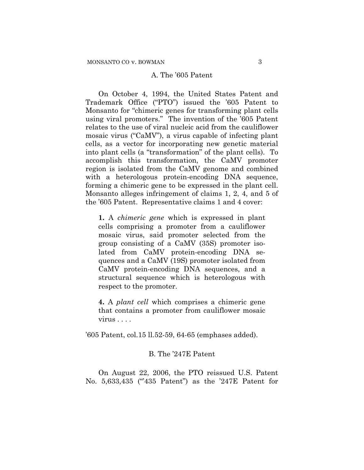#### A. The '605 Patent

On October 4, 1994, the United States Patent and Trademark Office ("PTO") issued the '605 Patent to Monsanto for "chimeric genes for transforming plant cells using viral promoters." The invention of the '605 Patent relates to the use of viral nucleic acid from the cauliflower mosaic virus ("CaMV"), a virus capable of infecting plant cells, as a vector for incorporating new genetic material into plant cells (a "transformation" of the plant cells). To accomplish this transformation, the CaMV promoter region is isolated from the CaMV genome and combined with a heterologous protein-encoding DNA sequence, forming a chimeric gene to be expressed in the plant cell. Monsanto alleges infringement of claims 1, 2, 4, and 5 of the '605 Patent. Representative claims 1 and 4 cover:

**1.** A *chimeric gene* which is expressed in plant cells comprising a promoter from a cauliflower mosaic virus, said promoter selected from the group consisting of a CaMV (35S) promoter isolated from CaMV protein-encoding DNA sequences and a CaMV (19S) promoter isolated from CaMV protein-encoding DNA sequences, and a structural sequence which is heterologous with respect to the promoter.

**4.** A *plant cell* which comprises a chimeric gene that contains a promoter from cauliflower mosaic virus . . . .

'605 Patent, col.15 ll.52-59, 64-65 (emphases added).

# B. The '247E Patent

 On August 22, 2006, the PTO reissued U.S. Patent No. 5,633,435 ("435 Patent") as the '247E Patent for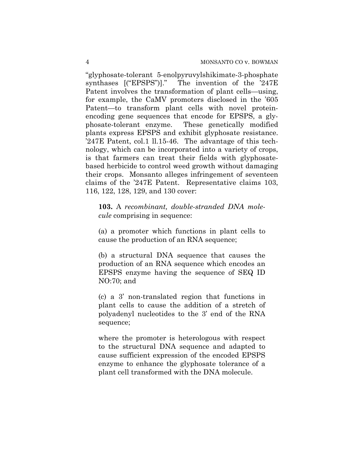"glyphosate-tolerant 5-enolpyruvylshikimate-3-phosphate synthases [("EPSPS")]." The invention of the '247E Patent involves the transformation of plant cells—using, for example, the CaMV promoters disclosed in the '605 Patent—to transform plant cells with novel proteinencoding gene sequences that encode for EPSPS, a glyphosate-tolerant enzyme. These genetically modified plants express EPSPS and exhibit glyphosate resistance. '247E Patent, col.1 ll.15-46. The advantage of this technology, which can be incorporated into a variety of crops, is that farmers can treat their fields with glyphosatebased herbicide to control weed growth without damaging their crops. Monsanto alleges infringement of seventeen claims of the '247E Patent. Representative claims 103, 116, 122, 128, 129, and 130 cover:

**103.** A *recombinant, double-stranded DNA molecule* comprising in sequence:

(a) a promoter which functions in plant cells to cause the production of an RNA sequence;

(b) a structural DNA sequence that causes the production of an RNA sequence which encodes an EPSPS enzyme having the sequence of SEQ ID NO:70; and

(c) a 3' non-translated region that functions in plant cells to cause the addition of a stretch of polyadenyl nucleotides to the 3' end of the RNA sequence;

where the promoter is heterologous with respect to the structural DNA sequence and adapted to cause sufficient expression of the encoded EPSPS enzyme to enhance the glyphosate tolerance of a plant cell transformed with the DNA molecule.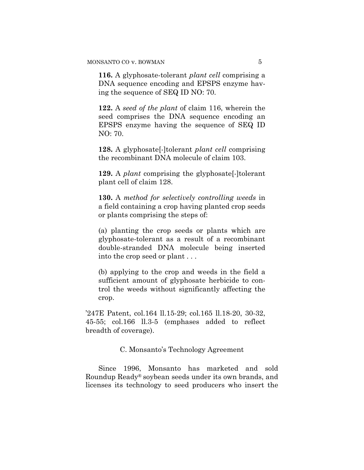**116.** A glyphosate-tolerant *plant cell* comprising a DNA sequence encoding and EPSPS enzyme having the sequence of SEQ ID NO: 70.

**122.** A *seed of the plant* of claim 116, wherein the seed comprises the DNA sequence encoding an EPSPS enzyme having the sequence of SEQ ID NO: 70.

**128.** A glyphosate[-]tolerant *plant cell* comprising the recombinant DNA molecule of claim 103.

**129.** A *plant* comprising the glyphosate[-]tolerant plant cell of claim 128.

**130.** A *method for selectively controlling weeds* in a field containing a crop having planted crop seeds or plants comprising the steps of:

(a) planting the crop seeds or plants which are glyphosate-tolerant as a result of a recombinant double-stranded DNA molecule being inserted into the crop seed or plant . . .

(b) applying to the crop and weeds in the field a sufficient amount of glyphosate herbicide to control the weeds without significantly affecting the crop.

'247E Patent, col.164 ll.15-29; col.165 ll.18-20, 30-32, 45-55; col.166 ll.3-5 (emphases added to reflect breadth of coverage).

# C. Monsanto's Technology Agreement

Since 1996, Monsanto has marketed and sold Roundup Ready® soybean seeds under its own brands, and licenses its technology to seed producers who insert the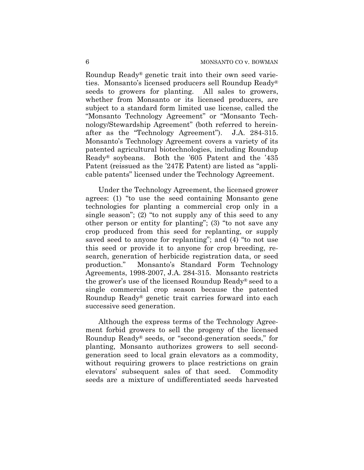Roundup Ready® genetic trait into their own seed varieties. Monsanto's licensed producers sell Roundup Ready® seeds to growers for planting. All sales to growers, whether from Monsanto or its licensed producers, are subject to a standard form limited use license, called the "Monsanto Technology Agreement" or "Monsanto Technology/Stewardship Agreement" (both referred to hereinafter as the "Technology Agreement"). J.A. 284-315. Monsanto's Technology Agreement covers a variety of its patented agricultural biotechnologies, including Roundup Ready® soybeans. Both the '605 Patent and the '435 Patent (reissued as the '247E Patent) are listed as "applicable patents" licensed under the Technology Agreement.

Under the Technology Agreement, the licensed grower agrees: (1) "to use the seed containing Monsanto gene technologies for planting a commercial crop only in a single season"; (2) "to not supply any of this seed to any other person or entity for planting"; (3) "to not save any crop produced from this seed for replanting, or supply saved seed to anyone for replanting"; and (4) "to not use this seed or provide it to anyone for crop breeding, research, generation of herbicide registration data, or seed production." Monsanto's Standard Form Technology Agreements, 1998-2007, J.A. 284-315. Monsanto restricts the grower's use of the licensed Roundup Ready® seed to a single commercial crop season because the patented Roundup Ready® genetic trait carries forward into each successive seed generation.

Although the express terms of the Technology Agreement forbid growers to sell the progeny of the licensed Roundup Ready® seeds, or "second-generation seeds," for planting, Monsanto authorizes growers to sell secondgeneration seed to local grain elevators as a commodity, without requiring growers to place restrictions on grain elevators' subsequent sales of that seed. Commodity seeds are a mixture of undifferentiated seeds harvested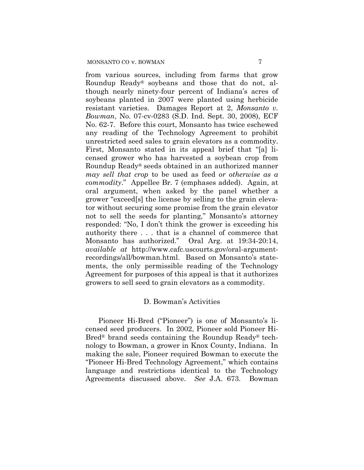from various sources, including from farms that grow Roundup Ready® soybeans and those that do not, although nearly ninety-four percent of Indiana's acres of soybeans planted in 2007 were planted using herbicide resistant varieties. Damages Report at 2, *Monsanto v. Bowman*, No. 07-cv-0283 (S.D. Ind. Sept. 30, 2008), ECF No. 62-7. Before this court, Monsanto has twice eschewed any reading of the Technology Agreement to prohibit unrestricted seed sales to grain elevators as a commodity. First, Monsanto stated in its appeal brief that "[a] licensed grower who has harvested a soybean crop from Roundup Ready® seeds obtained in an authorized manner *may sell that crop* to be used as feed *or otherwise as a commodity*." Appellee Br. 7 (emphases added). Again, at oral argument, when asked by the panel whether a grower "exceed[s] the license by selling to the grain elevator without securing some promise from the grain elevator not to sell the seeds for planting," Monsanto's attorney responded: "No, I don't think the grower is exceeding his authority there . . . that is a channel of commerce that Monsanto has authorized." Oral Arg. at 19:34-20:14, *available at* http://www.cafc.uscourts.gov/oral-argumentrecordings/all/bowman.html. Based on Monsanto's statements, the only permissible reading of the Technology Agreement for purposes of this appeal is that it authorizes growers to sell seed to grain elevators as a commodity.

# D. Bowman's Activities

Pioneer Hi-Bred ("Pioneer") is one of Monsanto's licensed seed producers. In 2002, Pioneer sold Pioneer Hi-Bred® brand seeds containing the Roundup Ready® technology to Bowman, a grower in Knox County, Indiana. In making the sale, Pioneer required Bowman to execute the "Pioneer Hi-Bred Technology Agreement," which contains language and restrictions identical to the Technology Agreements discussed above. *See* J.A. 673. Bowman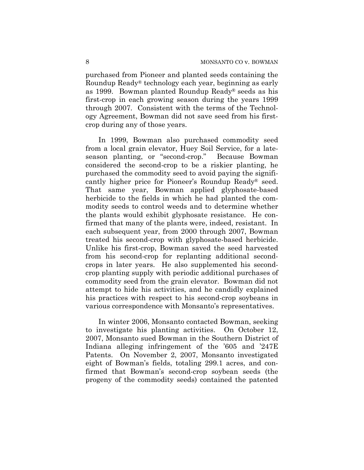purchased from Pioneer and planted seeds containing the Roundup Ready® technology each year, beginning as early as 1999.Bowman planted Roundup Ready® seeds as his first-crop in each growing season during the years 1999 through 2007. Consistent with the terms of the Technology Agreement, Bowman did not save seed from his firstcrop during any of those years.

In 1999, Bowman also purchased commodity seed from a local grain elevator, Huey Soil Service, for a lateseason planting, or "second-crop." Because Bowman considered the second-crop to be a riskier planting, he purchased the commodity seed to avoid paying the significantly higher price for Pioneer's Roundup Ready® seed. That same year, Bowman applied glyphosate-based herbicide to the fields in which he had planted the commodity seeds to control weeds and to determine whether the plants would exhibit glyphosate resistance. He confirmed that many of the plants were, indeed, resistant. In each subsequent year, from 2000 through 2007, Bowman treated his second-crop with glyphosate-based herbicide. Unlike his first-crop, Bowman saved the seed harvested from his second-crop for replanting additional secondcrops in later years. He also supplemented his secondcrop planting supply with periodic additional purchases of commodity seed from the grain elevator. Bowman did not attempt to hide his activities, and he candidly explained his practices with respect to his second-crop soybeans in various correspondence with Monsanto's representatives.

In winter 2006, Monsanto contacted Bowman, seeking to investigate his planting activities. On October 12, 2007, Monsanto sued Bowman in the Southern District of Indiana alleging infringement of the '605 and '247E Patents. On November 2, 2007, Monsanto investigated eight of Bowman's fields, totaling 299.1 acres, and confirmed that Bowman's second-crop soybean seeds (the progeny of the commodity seeds) contained the patented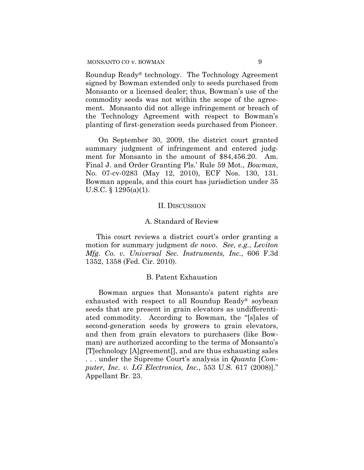Roundup Ready® technology. The Technology Agreement signed by Bowman extended only to seeds purchased from Monsanto or a licensed dealer; thus, Bowman's use of the commodity seeds was not within the scope of the agreement. Monsanto did not allege infringement or breach of the Technology Agreement with respect to Bowman's planting of first-generation seeds purchased from Pioneer.

On September 30, 2009, the district court granted summary judgment of infringement and entered judgment for Monsanto in the amount of \$84,456.20. Am. Final J. and Order Granting Pls.' Rule 59 Mot., *Bowman*, No. 07-cv-0283 (May 12, 2010), ECF Nos. 130, 131. Bowman appeals, and this court has jurisdiction under 35 U.S.C. § 1295(a)(1).

#### II. DISCUSSION

#### A. Standard of Review

This court reviews a district court's order granting a motion for summary judgment *de novo*. *See, e.g.*, *Leviton Mfg. Co. v. Universal Sec. Instruments, Inc.*, 606 F.3d 1352, 1358 (Fed. Cir. 2010).

#### B. Patent Exhaustion

Bowman argues that Monsanto's patent rights are exhausted with respect to all Roundup Ready® soybean seeds that are present in grain elevators as undifferentiated commodity. According to Bowman, the "[s]ales of second-generation seeds by growers to grain elevators, and then from grain elevators to purchasers (like Bowman) are authorized according to the terms of Monsanto's [T]echnology [A]greement[], and are thus exhausting sales . . . under the Supreme Court's analysis in *Quanta* [*Computer, Inc. v. LG Electronics, Inc.*, 553 U.S. 617 (2008)]." Appellant Br. 23.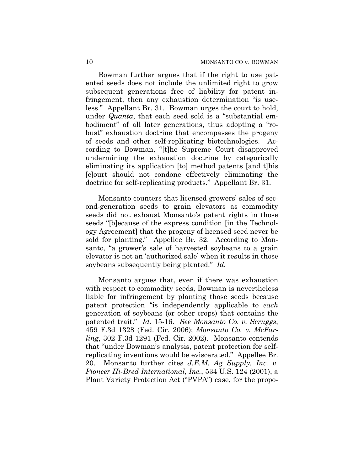Bowman further argues that if the right to use patented seeds does not include the unlimited right to grow subsequent generations free of liability for patent infringement, then any exhaustion determination "is useless." Appellant Br. 31. Bowman urges the court to hold, under *Quanta*, that each seed sold is a "substantial embodiment" of all later generations, thus adopting a "robust" exhaustion doctrine that encompasses the progeny of seeds and other self-replicating biotechnologies. According to Bowman, "[t]he Supreme Court disapproved undermining the exhaustion doctrine by categorically eliminating its application [to] method patents [and t]his [c]ourt should not condone effectively eliminating the doctrine for self-replicating products." Appellant Br. 31.

Monsanto counters that licensed growers' sales of second-generation seeds to grain elevators as commodity seeds did not exhaust Monsanto's patent rights in those seeds "[b]ecause of the express condition [in the Technology Agreement] that the progeny of licensed seed never be sold for planting." Appellee Br. 32. According to Monsanto, "a grower's sale of harvested soybeans to a grain elevator is not an 'authorized sale' when it results in those soybeans subsequently being planted." *Id.*

Monsanto argues that, even if there was exhaustion with respect to commodity seeds, Bowman is nevertheless liable for infringement by planting those seeds because patent protection "is independently applicable to *each* generation of soybeans (or other crops) that contains the patented trait." *Id.* 15-16. *See Monsanto Co. v. Scruggs*, 459 F.3d 1328 (Fed. Cir. 2006); *Monsanto Co. v. McFarling*, 302 F.3d 1291 (Fed. Cir. 2002). Monsanto contends that "under Bowman's analysis, patent protection for selfreplicating inventions would be eviscerated." Appellee Br. 20. Monsanto further cites *J.E.M. Ag Supply, Inc. v. Pioneer Hi-Bred International, Inc.*, 534 U.S. 124 (2001), a Plant Variety Protection Act ("PVPA") case, for the propo-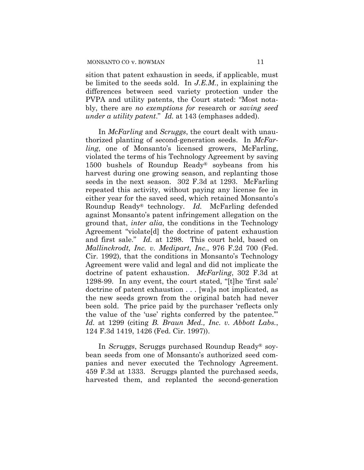sition that patent exhaustion in seeds, if applicable, must be limited to the seeds sold. In *J.E.M.*, in explaining the differences between seed variety protection under the PVPA and utility patents, the Court stated: "Most notably, there are *no exemptions for* research or *saving seed under a utility patent*." *Id.* at 143 (emphases added).

In *McFarling* and *Scruggs*, the court dealt with unauthorized planting of second-generation seeds. In *McFarling*, one of Monsanto's licensed growers, McFarling, violated the terms of his Technology Agreement by saving 1500 bushels of Roundup Ready® soybeans from his harvest during one growing season, and replanting those seeds in the next season. 302 F.3d at 1293. McFarling repeated this activity, without paying any license fee in either year for the saved seed, which retained Monsanto's Roundup Ready® technology. *Id.* McFarling defended against Monsanto's patent infringement allegation on the ground that, *inter alia*, the conditions in the Technology Agreement "violate[d] the doctrine of patent exhaustion and first sale." *Id.* at 1298. This court held, based on *Mallinckrodt, Inc. v. Medipart, Inc.*, 976 F.2d 700 (Fed. Cir. 1992), that the conditions in Monsanto's Technology Agreement were valid and legal and did not implicate the doctrine of patent exhaustion. *McFarling*, 302 F.3d at 1298-99. In any event, the court stated, "[t]he 'first sale' doctrine of patent exhaustion . . . [wa]s not implicated, as the new seeds grown from the original batch had never been sold. The price paid by the purchaser 'reflects only the value of the 'use' rights conferred by the patentee.'" *Id.* at 1299 (citing *B. Braun Med., Inc. v. Abbott Labs.*, 124 F.3d 1419, 1426 (Fed. Cir. 1997)).

In *Scruggs*, Scruggs purchased Roundup Ready® soybean seeds from one of Monsanto's authorized seed companies and never executed the Technology Agreement. 459 F.3d at 1333. Scruggs planted the purchased seeds, harvested them, and replanted the second-generation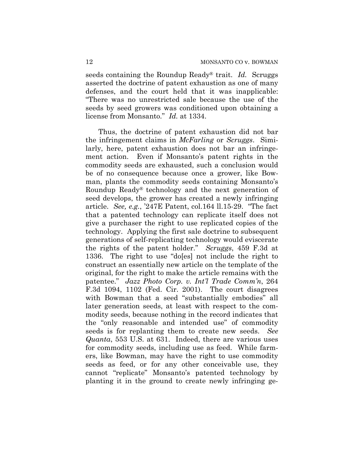seeds containing the Roundup Ready® trait. *Id.* Scruggs asserted the doctrine of patent exhaustion as one of many defenses, and the court held that it was inapplicable: "There was no unrestricted sale because the use of the seeds by seed growers was conditioned upon obtaining a license from Monsanto." *Id.* at 1334.

Thus, the doctrine of patent exhaustion did not bar the infringement claims in *McFarling* or *Scruggs*. Similarly, here, patent exhaustion does not bar an infringement action. Even if Monsanto's patent rights in the commodity seeds are exhausted, such a conclusion would be of no consequence because once a grower, like Bowman, plants the commodity seeds containing Monsanto's Roundup Ready® technology and the next generation of seed develops, the grower has created a newly infringing article. *See, e.g.*, '247E Patent, col.164 ll.15-29. "The fact that a patented technology can replicate itself does not give a purchaser the right to use replicated copies of the technology. Applying the first sale doctrine to subsequent generations of self-replicating technology would eviscerate the rights of the patent holder." *Scruggs*, 459 F.3d at 1336. The right to use "do[es] not include the right to construct an essentially new article on the template of the original, for the right to make the article remains with the patentee." *Jazz Photo Corp. v. Int'l Trade Comm'n*, 264 F.3d 1094, 1102 (Fed. Cir. 2001). The court disagrees with Bowman that a seed "substantially embodies" all later generation seeds, at least with respect to the commodity seeds, because nothing in the record indicates that the "only reasonable and intended use" of commodity seeds is for replanting them to create new seeds. *See Quanta*, 553 U.S. at 631. Indeed, there are various uses for commodity seeds, including use as feed. While farmers, like Bowman, may have the right to use commodity seeds as feed, or for any other conceivable use, they cannot "replicate" Monsanto's patented technology by planting it in the ground to create newly infringing ge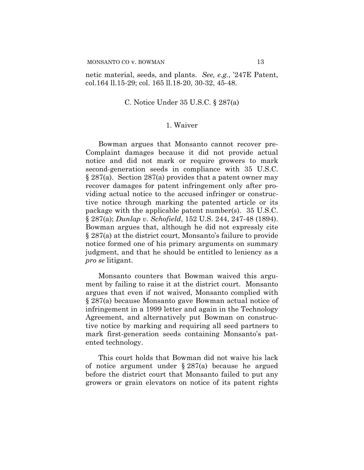netic material, seeds, and plants. *See, e.g.*, '247E Patent, col.164 ll.15-29; col. 165 ll.18-20, 30-32, 45-48.

### C. Notice Under 35 U.S.C. § 287(a)

# 1. Waiver

Bowman argues that Monsanto cannot recover pre-Complaint damages because it did not provide actual notice and did not mark or require growers to mark second-generation seeds in compliance with 35 U.S.C. § 287(a). Section 287(a) provides that a patent owner may recover damages for patent infringement only after providing actual notice to the accused infringer or constructive notice through marking the patented article or its package with the applicable patent number(s). 35 U.S.C. § 287(a); *Dunlap v. Schofield*, 152 U.S. 244, 247-48 (1894). Bowman argues that, although he did not expressly cite § 287(a) at the district court, Monsanto's failure to provide notice formed one of his primary arguments on summary judgment, and that he should be entitled to leniency as a *pro se* litigant.

Monsanto counters that Bowman waived this argument by failing to raise it at the district court. Monsanto argues that even if not waived, Monsanto complied with § 287(a) because Monsanto gave Bowman actual notice of infringement in a 1999 letter and again in the Technology Agreement, and alternatively put Bowman on constructive notice by marking and requiring all seed partners to mark first-generation seeds containing Monsanto's patented technology.

This court holds that Bowman did not waive his lack of notice argument under § 287(a) because he argued before the district court that Monsanto failed to put any growers or grain elevators on notice of its patent rights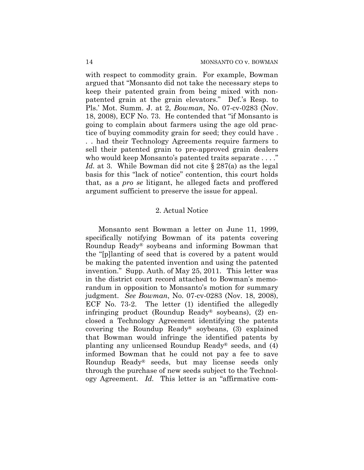with respect to commodity grain. For example, Bowman argued that "Monsanto did not take the necessary steps to keep their patented grain from being mixed with nonpatented grain at the grain elevators." Def.'s Resp. to Pls.' Mot. Summ. J. at 2, *Bowman*, No. 07-cv-0283 (Nov. 18, 2008), ECF No. 73. He contended that "if Monsanto is going to complain about farmers using the age old practice of buying commodity grain for seed; they could have . . . had their Technology Agreements require farmers to sell their patented grain to pre-approved grain dealers who would keep Monsanto's patented traits separate ...." *Id.* at 3. While Bowman did not cite § 287(a) as the legal basis for this "lack of notice" contention, this court holds that, as a *pro se* litigant, he alleged facts and proffered argument sufficient to preserve the issue for appeal.

## 2. Actual Notice

Monsanto sent Bowman a letter on June 11, 1999, specifically notifying Bowman of its patents covering Roundup Ready® soybeans and informing Bowman that the "[p]lanting of seed that is covered by a patent would be making the patented invention and using the patented invention." Supp. Auth. of May 25, 2011. This letter was in the district court record attached to Bowman's memorandum in opposition to Monsanto's motion for summary judgment. *See Bowman*, No. 07-cv-0283 (Nov. 18, 2008), ECF No. 73-2. The letter (1) identified the allegedly infringing product (Roundup Ready® soybeans), (2) enclosed a Technology Agreement identifying the patents covering the Roundup Ready® soybeans, (3) explained that Bowman would infringe the identified patents by planting any unlicensed Roundup Ready® seeds, and (4) informed Bowman that he could not pay a fee to save Roundup Ready® seeds, but may license seeds only through the purchase of new seeds subject to the Technology Agreement. *Id.* This letter is an "affirmative com-